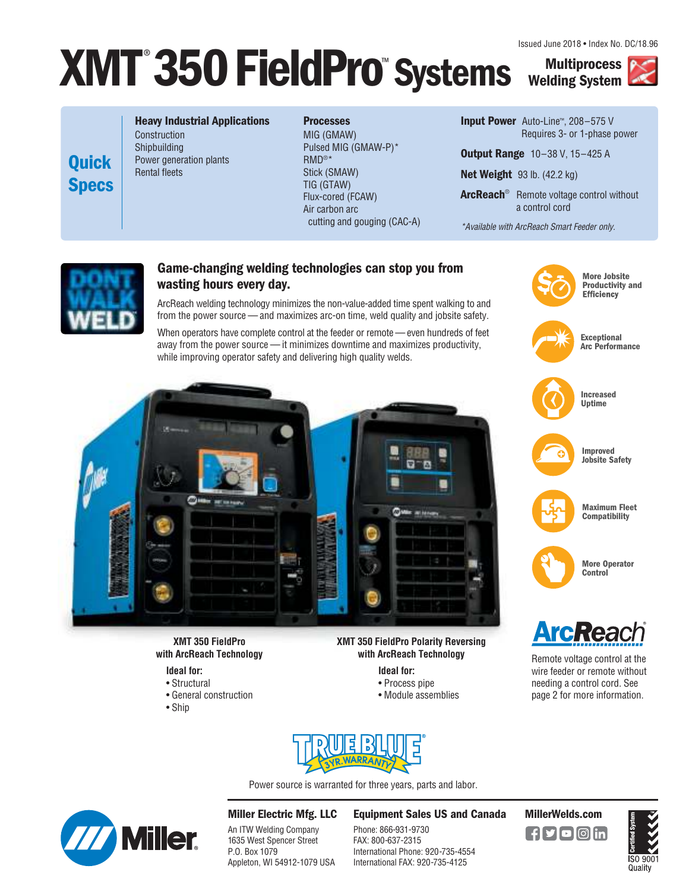Issued June 2018 • Index No. DC/18.96

# XMT<sup>®</sup>350 FieldPro<sup>®</sup> Systems Multiprocess



# **Quick Specs**

#### Heavy Industrial Applications

**Construction** Shipbuilding Power generation plants Rental fleets

#### Processes

MIG (GMAW) Pulsed MIG (GMAW-P)\* RMD®\* Stick (SMAW) TIG (GTAW) Flux-cored (FCAW) Air carbon arc cutting and gouging (CAC-A) Input Power Auto-Line™, 208–575 V Requires 3- or 1-phase power **Output Range** 10-38 V, 15-425 A Net Weight 93 lb. (42.2 kg) ArcReach<sup>®</sup> Remote voltage control without a control cord

\*Available with ArcReach Smart Feeder only.



#### Game-changing welding technologies can stop you from wasting hours every day.

ArcReach welding technology minimizes the non-value-added time spent walking to and from the power source — and maximizes arc-on time, weld quality and jobsite safety.

When operators have complete control at the feeder or remote — even hundreds of feet away from the power source — it minimizes downtime and maximizes productivity, while improving operator safety and delivering high quality welds.







Exceptional Arc Performance



Increased Uptime

Improved Jobsite Safety



Maximum Fleet **Compatibility** 



More Operator Control



Remote voltage control at the wire feeder or remote without needing a control cord. See page 2 for more information.



#### **XMT 350 FieldPro with ArcReach Technology**

#### **Ideal for:**

- Structural
- General construction
- Ship

**XMT 350 FieldPro Polarity Reversing with ArcReach Technology**

**Ideal for:**

- Process pipe
- Module assemblies



Power source is warranted for three years, parts and labor.



Miller Electric Mfg. LLC

An ITW Welding Company 1635 West Spencer Street P.O. Box 1079 Appleton, WI 54912-1079 USA

#### Equipment Sales US and Canada MillerWelds.com

Phone: 866-931-9730 FAX: 800-637-2315 International Phone: 920-735-4554 International FAX: 920-735-4125



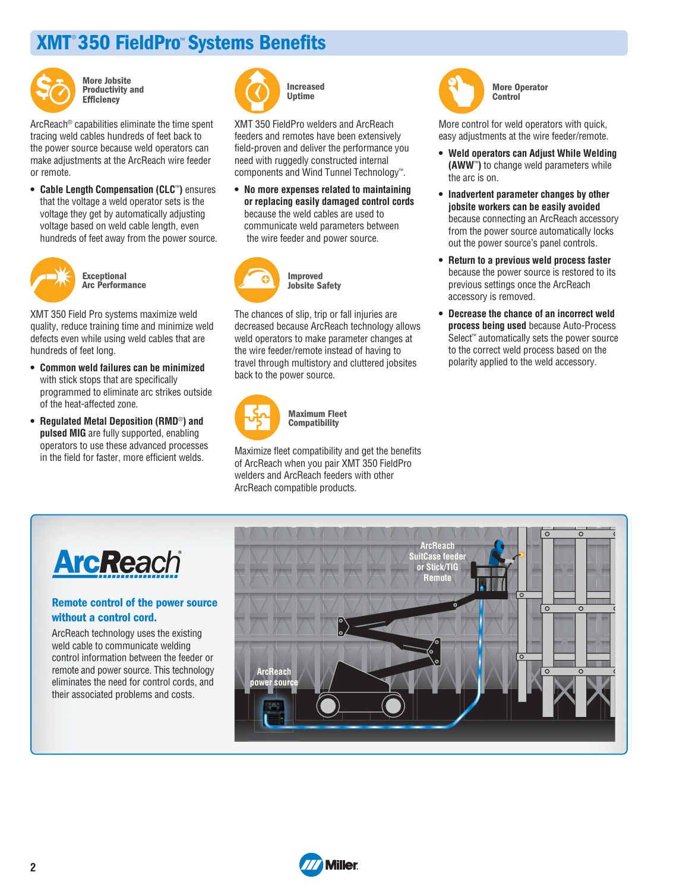# **XMT<sup>®</sup>350 FieldPro™ Systems Benefits**



More Jobsite

ArcReach® capabilities eliminate the time spent tracing weld cables hundreds of feet back to the power source because weld operators can make adjustments at the ArcReach wire feeder or remote.

**• Cable Length Compensation (CLC**™ **)** ensures that the voltage a weld operator sets is the voltage they get by automatically adjusting voltage based on weld cable length, even hundreds of feet away from the power source.



Arc Performance

XMT 350 Field Pro systems maximize weld quality, reduce training time and minimize weld defects even while using weld cables that are hundreds of feet long.

- **Common weld failures can be minimized**  with stick stops that are specifically programmed to eliminate arc strikes outside of the heat-affected zone.
- **Regulated Metal Deposition (RMD**®**) and pulsed MIG** are fully supported, enabling operators to use these advanced processes in the field for faster, more efficient welds.



XMT 350 FieldPro welders and ArcReach feeders and remotes have been extensively field-proven and deliver the performance you need with ruggedly constructed internal components and Wind Tunnel Technology™ .

**• No more expenses related to maintaining or replacing easily damaged control cords** because the weld cables are used to communicate weld parameters between the wire feeder and power source.



The chances of slip, trip or fall injuries are decreased because ArcReach technology allows weld operators to make parameter changes at the wire feeder/remote instead of having to travel through multistory and cluttered jobsites back to the power source.



Maximum Fleet **Compatibility** 

Maximize fleet compatibility and get the benefits of ArcReach when you pair XMT 350 FieldPro welders and ArcReach feeders with other ArcReach compatible products.

More Operator Control

More control for weld operators with quick, easy adjustments at the wire feeder/remote.

- **Weld operators can Adjust While Welding (AWW**™ **)** to change weld parameters while the arc is on.
- **Inadvertent parameter changes by other jobsite workers can be easily avoided** because connecting an ArcReach accessory from the power source automatically locks out the power source's panel controls.
- **Return to a previous weld process faster** because the power source is restored to its previous settings once the ArcReach accessory is removed.
- **Decrease the chance of an incorrect weld process being used** because Auto-Process Select™ automatically sets the power source to the correct weld process based on the polarity applied to the weld accessory.



#### Remote control of the power source without a control cord.

ArcReach technology uses the existing weld cable to communicate welding control information between the feeder or remote and power source. This technology eliminates the need for control cords, and their associated problems and costs.



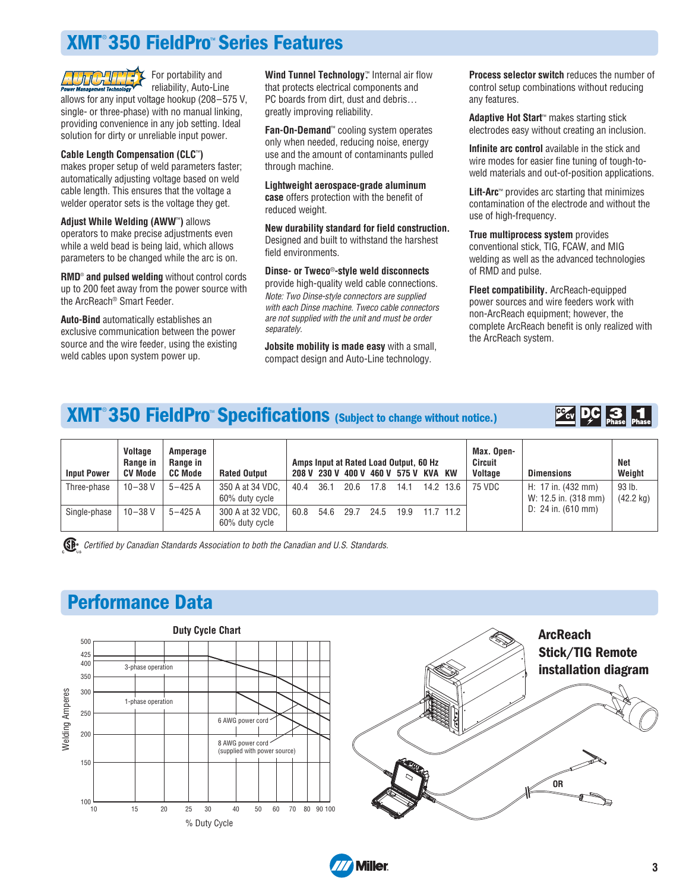# **XMT<sup>®</sup>350 FieldPro™ Series Features**



 $\mathsf{\subseteq}$  For portability and reliability, Auto-Line

allows for any input voltage hookup (208–575 V, single- or three-phase) with no manual linking, providing convenience in any job setting. Ideal solution for dirty or unreliable input power.

#### **Cable Length Compensation (CLC**™ **)**

makes proper setup of weld parameters faster; automatically adjusting voltage based on weld cable length. This ensures that the voltage a welder operator sets is the voltage they get.

**Adjust While Welding (AWW**™ **)** allows operators to make precise adjustments even while a weld bead is being laid, which allows parameters to be changed while the arc is on.

**RMD**® **and pulsed welding** without control cords up to 200 feet away from the power source with the ArcReach® Smart Feeder.

**Auto-Bind** automatically establishes an exclusive communication between the power source and the wire feeder, using the existing weld cables upon system power up.

**Wind Tunnel Technology.™** Internal air flow that protects electrical components and PC boards from dirt, dust and debris… greatly improving reliability.

**Fan-On-Demand**™ cooling system operates only when needed, reducing noise, energy use and the amount of contaminants pulled through machine.

**Lightweight aerospace-grade aluminum case** offers protection with the benefit of reduced weight.

**New durability standard for field construction.** Designed and built to withstand the harshest field environments.

**Dinse- or Tweco**®**-style weld disconnects** provide high-quality weld cable connections. Note: Two Dinse-style connectors are supplied with each Dinse machine. Tweco cable connectors are not supplied with the unit and must be order separately.

**Jobsite mobility is made easy** with a small, compact design and Auto-Line technology.

**Process selector switch** reduces the number of control setup combinations without reducing any features.

**Adaptive Hot Start**™ makes starting stick electrodes easy without creating an inclusion.

**Infinite arc control** available in the stick and wire modes for easier fine tuning of tough-toweld materials and out-of-position applications.

**Lift-Arc**™ provides arc starting that minimizes contamination of the electrode and without the use of high-frequency.

**True multiprocess system** provides conventional stick, TIG, FCAW, and MIG welding as well as the advanced technologies of RMD and pulse.

**Fleet compatibility.** ArcReach-equipped power sources and wire feeders work with non-ArcReach equipment; however, the complete ArcReach benefit is only realized with the ArcReach system.

### XMT<sup>®</sup>350 FieldPro<sup>™</sup> Specifications (Subject to change without notice.)

 $C_{\text{cv}}$  DC 3 1

| <b>Input Power</b> | Voltage<br>Range in<br><b>CV Mode</b> | Amperage<br>Range in<br><b>CC Mode</b> | <b>Rated Output</b>                |      |      |      | Amps Input at Rated Load Output, 60 Hz<br>208 V 230 V 400 V 460 V 575 V KVA KW |      |           | Max. Open-<br><b>Circuit</b><br><b>Voltage</b> | <b>Dimensions</b>                          | Net<br>Weight                 |
|--------------------|---------------------------------------|----------------------------------------|------------------------------------|------|------|------|--------------------------------------------------------------------------------|------|-----------|------------------------------------------------|--------------------------------------------|-------------------------------|
| Three-phase        | $10 - 38$ V                           | $5 - 425$ A                            | 350 A at 34 VDC.<br>60% duty cycle | 40.4 | 36.1 | 20.6 | 17.8                                                                           | 14.1 | 14.2 13.6 | 75 VDC                                         | H: 17 in. (432 mm)<br>W: 12.5 in. (318 mm) | 93 lb.<br>$(42.2 \text{ kg})$ |
| Single-phase       | $10 - 38$ V                           | $5 - 425$ A                            | 300 A at 32 VDC.<br>60% duty cycle | 60.8 | 54.6 | 29.7 | 24.5                                                                           | 19.9 | 11.7 11.2 |                                                | D: $24$ in. $(610$ mm)                     |                               |

Certified by Canadian Standards Association to both the Canadian and U.S. Standards.

# Performance Data



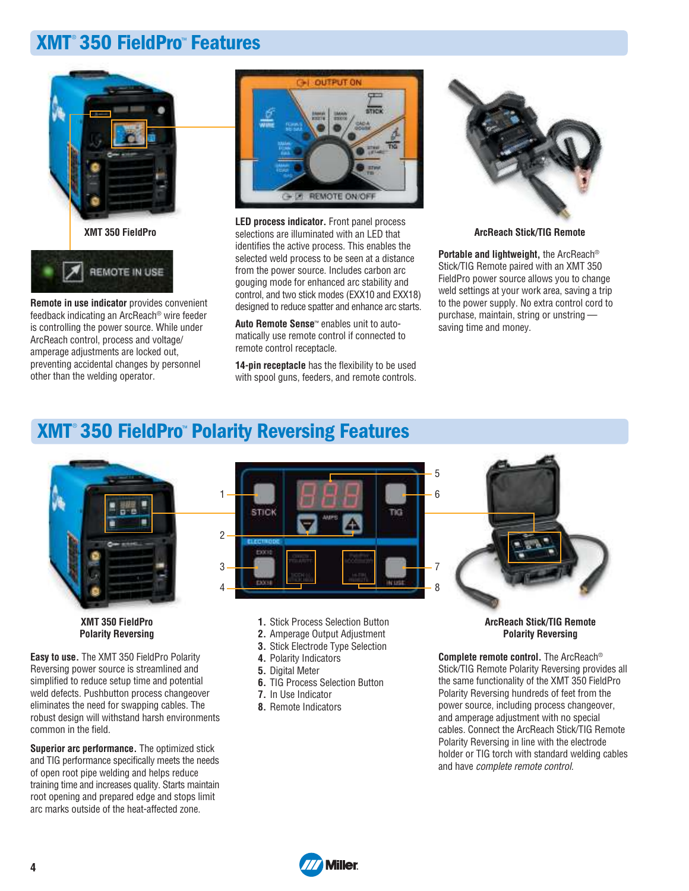## **XMT<sup>®</sup> 350 FieldPro™ Features**





**Remote in use indicator** provides convenient feedback indicating an ArcReach® wire feeder is controlling the power source. While under ArcReach control, process and voltage/ amperage adjustments are locked out, preventing accidental changes by personnel other than the welding operator.



**LED process indicator.** Front panel process selections are illuminated with an LED that identifies the active process. This enables the selected weld process to be seen at a distance from the power source. Includes carbon arc gouging mode for enhanced arc stability and control, and two stick modes (EXX10 and EXX18) designed to reduce spatter and enhance arc starts.

**Auto Remote Sense™ enables unit to auto**matically use remote control if connected to remote control receptacle.

**14-pin receptacle** has the flexibility to be used with spool guns, feeders, and remote controls.



**ArcReach Stick/TIG Remote**

**Portable and lightweight,** the ArcReach® Stick/TIG Remote paired with an XMT 350 FieldPro power source allows you to change weld settings at your work area, saving a trip to the power supply. No extra control cord to purchase, maintain, string or unstring saving time and money.

### **XMT<sup>®</sup> 350 FieldPro™ Polarity Reversing Features**



#### **XMT 350 FieldPro Polarity Reversing**

**Easy to use.** The XMT 350 FieldPro Polarity Reversing power source is streamlined and simplified to reduce setup time and potential weld defects. Pushbutton process changeover eliminates the need for swapping cables. The robust design will withstand harsh environments common in the field.

**Superior arc performance.** The optimized stick and TIG performance specifically meets the needs of open root pipe welding and helps reduce training time and increases quality. Starts maintain root opening and prepared edge and stops limit arc marks outside of the heat-affected zone.

- 1 **STICK** TIG  $\mathfrak{p}$ 3 4
	- **1.** Stick Process Selection Button
	- **2.** Amperage Output Adjustment
	- **3.** Stick Electrode Type Selection
	- **4.** Polarity Indicators
	- **5.** Digital Meter
	- **6.** TIG Process Selection Button
	- **7.** In Use Indicator
	- **8.** Remote Indicators



#### **ArcReach Stick/TIG Remote Polarity Reversing**

**Complete remote control.** The ArcReach® Stick/TIG Remote Polarity Reversing provides all the same functionality of the XMT 350 FieldPro Polarity Reversing hundreds of feet from the power source, including process changeover, and amperage adjustment with no special cables. Connect the ArcReach Stick/TIG Remote Polarity Reversing in line with the electrode holder or TIG torch with standard welding cables and have complete remote control.

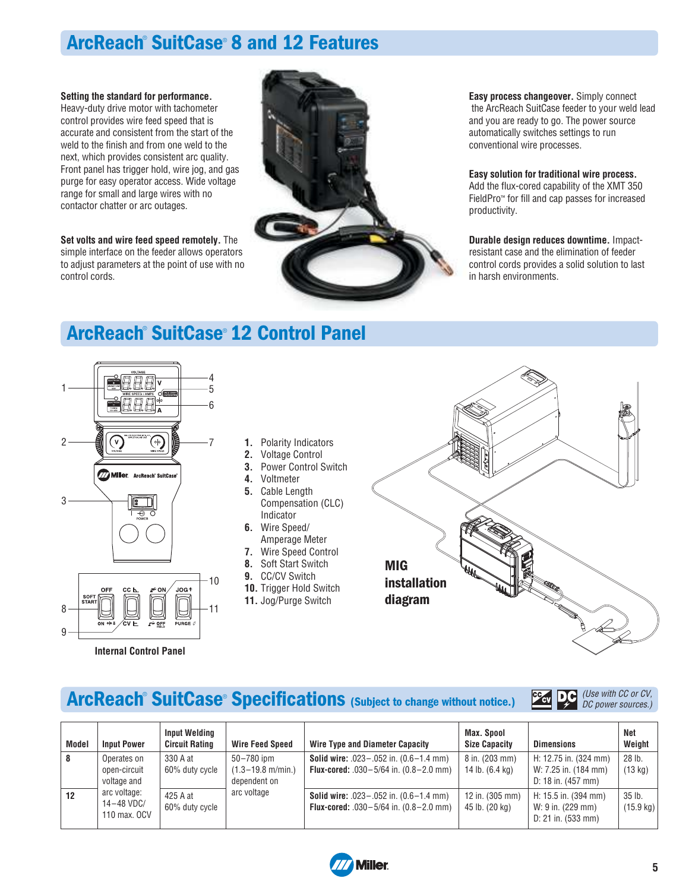# ArcReach® SuitCase® 8 and 12 Features

#### **Setting the standard for performance.**

Heavy-duty drive motor with tachometer control provides wire feed speed that is accurate and consistent from the start of the weld to the finish and from one weld to the next, which provides consistent arc quality. Front panel has trigger hold, wire jog, and gas purge for easy operator access. Wide voltage range for small and large wires with no contactor chatter or arc outages.

**Set volts and wire feed speed remotely.** The simple interface on the feeder allows operators to adjust parameters at the point of use with no control cords.



**Easy process changeover.** Simply connect the ArcReach SuitCase feeder to your weld lead and you are ready to go. The power source automatically switches settings to run conventional wire processes.

**Easy solution for traditional wire process.** Add the flux-cored capability of the XMT 350 FieldPro™ for fill and cap passes for increased productivity.

**Durable design reduces downtime.** Impactresistant case and the elimination of feeder control cords provides a solid solution to last in harsh environments.

# ArcReach® SuitCase® 12 Control Panel



- **1.** Polarity Indicators
- **2.** Voltage Control
- **3.** Power Control Switch
- **4.** Voltmeter **5.** Cable Length Compensation (CLC) Indicator
- **6.** Wire Speed/ Amperage Meter
- **7.** Wire Speed Control
- **8.** Soft Start Switch
- **9.** CC/CV Switch
- **10.** Trigger Hold Switch
- **11.** Jog/Purge Switch



# ArcReach® SuitCase® Specifications (Subject to change without notice.)



| <b>Model</b> | <b>Input Power</b>                         | <b>Input Welding</b><br><b>Circuit Rating</b> | <b>Wire Feed Speed</b>                                          | Wire Type and Diameter Capacity                                                                                | Max. Spool<br><b>Size Capacity</b>          | <b>Dimensions</b>                                                             | Net<br>Weight                   |
|--------------|--------------------------------------------|-----------------------------------------------|-----------------------------------------------------------------|----------------------------------------------------------------------------------------------------------------|---------------------------------------------|-------------------------------------------------------------------------------|---------------------------------|
|              | Operates on<br>open-circuit<br>voltage and | 330 A at<br>60% duty cycle                    | $50 - 780$ ipm<br>$(1.3 - 19.8 \text{ m/min.})$<br>dependent on | <b>Solid wire:</b> $.023 - .052$ in. $(0.6 - 1.4$ mm)<br><b>Flux-cored:</b> $.030 - 5/64$ in. $(0.8 - 2.0$ mm) | 8 in. (203 mm)<br>14 lb. $(6.4 \text{ kg})$ | H: 12.75 in. (324 mm)<br>W: 7.25 in. (184 mm)<br>D: 18 in. $(457 \text{ mm})$ | 28 lb.<br>$(13 \text{ kg})$     |
| 12           | arc voltage:<br>14-48 VDC/<br>110 max. OCV | 425 A at<br>60% duty cycle                    | arc voltage                                                     | <b>Solid wire:</b> $.023 - .052$ in. $(0.6 - 1.4$ mm)<br><b>Flux-cored:</b> $.030 - 5/64$ in. $(0.8 - 2.0$ mm) | 12 in. (305 mm)<br>45 lb. (20 kg)           | H: 15.5 in. (394 mm)<br>W: 9 in. (229 mm)<br>D: 21 in. (533 mm)               | $35$ lb.<br>$(15.9 \text{ kg})$ |

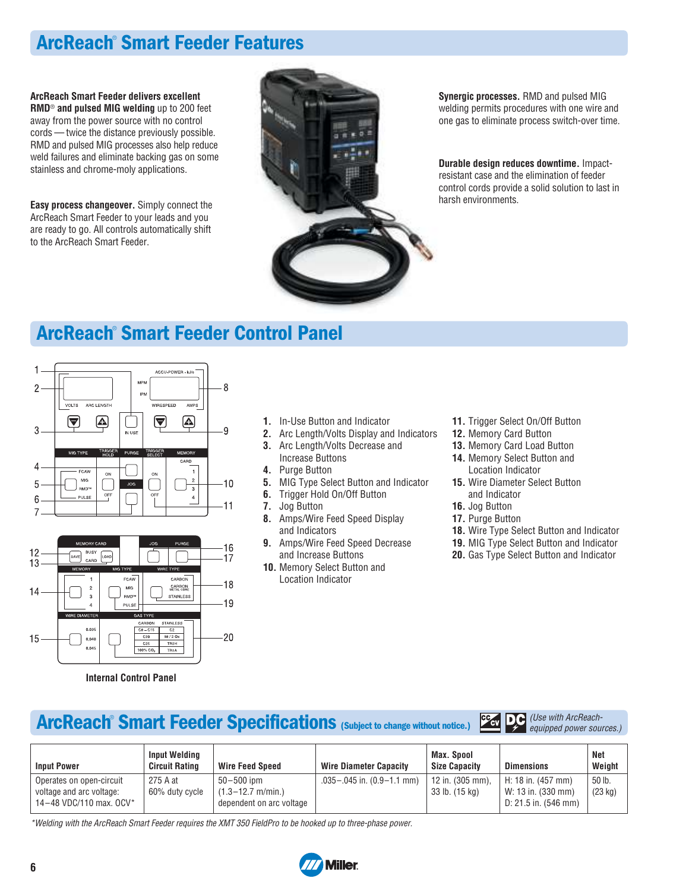# ArcReach® Smart Feeder Features

**ArcReach Smart Feeder delivers excellent RMD**® **and pulsed MIG welding** up to 200 feet away from the power source with no control cords — twice the distance previously possible. RMD and pulsed MIG processes also help reduce weld failures and eliminate backing gas on some stainless and chrome-moly applications.

**Easy process changeover.** Simply connect the ArcReach Smart Feeder to your leads and you are ready to go. All controls automatically shift to the ArcReach Smart Feeder.



**Synergic processes.** RMD and pulsed MIG welding permits procedures with one wire and one gas to eliminate process switch-over time.

**Durable design reduces downtime.** Impactresistant case and the elimination of feeder control cords provide a solid solution to last in harsh environments.

# ArcReach® Smart Feeder Control Panel



- **1.** In-Use Button and Indicator
- **2.** Arc Length/Volts Display and Indicators
- **3.** Arc Length/Volts Decrease and Increase Buttons
- **4.** Purge Button
- **5.** MIG Type Select Button and Indicator
- **6.** Trigger Hold On/Off Button
- **7.** Jog Button
- **8.** Amps/Wire Feed Speed Display and Indicators
- **9.** Amps/Wire Feed Speed Decrease and Increase Buttons
- **10.** Memory Select Button and Location Indicator
- **11.** Trigger Select On/Off Button
- **12.** Memory Card Button
- **13.** Memory Card Load Button
- **14.** Memory Select Button and Location Indicator
- **15.** Wire Diameter Select Button and Indicator
- **16.** Jog Button
- **17.** Purge Button
- **18.** Wire Type Select Button and Indicator
- **19.** MIG Type Select Button and Indicator
- **20.** Gas Type Select Button and Indicator

**Internal Control Panel**

### ArcReach<sup>®</sup> Smart Feeder Specifications (Subject to change without notice.)

**DC** (Use with ArcReachcccv equipped power sources.)

| <b>Input Power</b>                                                              | <b>Input Welding</b><br><b>Circuit Rating</b> | <b>Wire Feed Speed</b>                                               | <b>Wire Diameter Capacity</b>      | Max. Spool<br><b>Size Capacity</b> | <b>Dimensions</b>                                                | Net<br>Weight               |
|---------------------------------------------------------------------------------|-----------------------------------------------|----------------------------------------------------------------------|------------------------------------|------------------------------------|------------------------------------------------------------------|-----------------------------|
| Operates on open-circuit<br>voltage and arc voltage:<br>14-48 VDC/110 max, OCV* | 275 A at<br>60% duty cycle                    | $50 - 500$ ipm<br>$(1.3 - 12.7)$ m/min.)<br>dependent on arc voltage | $.035 - .045$ in. $(0.9 - 1.1$ mm) | 12 in. (305 mm),<br>33 lb. (15 kg) | H: 18 in. (457 mm)<br>W: 13 in. (330 mm)<br>D: 21.5 in. (546 mm) | 50 lb.<br>$(23 \text{ kg})$ |

\*Welding with the ArcReach Smart Feeder requires the XMT 350 FieldPro to be hooked up to three-phase power.

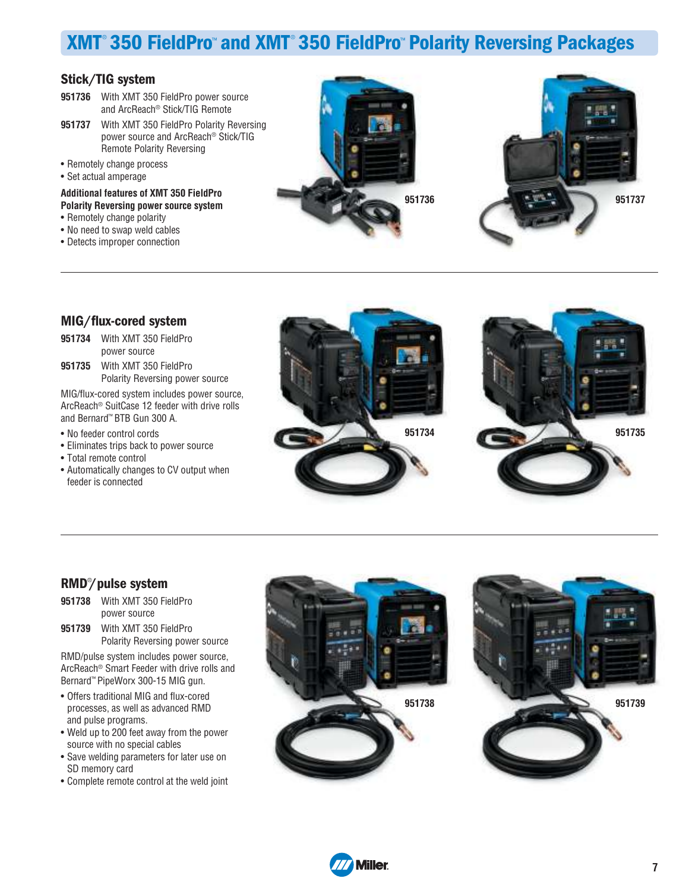# XMT<sup>®</sup> 350 FieldPro™ and XMT® 350 FieldPro™ Polarity Reversing Packages

#### Stick/TIG system

- **951736** With XMT 350 FieldPro power source and ArcReach® Stick/TIG Remote
- **951737** With XMT 350 FieldPro Polarity Reversing power source and ArcReach® Stick/TIG Remote Polarity Reversing
- Remotely change process
- Set actual amperage

#### **Additional features of XMT 350 FieldPro Polarity Reversing power source system**

- Remotely change polarity
- No need to swap weld cables
- Detects improper connection





#### MIG/flux-cored system

- **951734** With XMT 350 FieldPro power source
- **951735** With XMT 350 FieldPro Polarity Reversing power source

MIG/flux-cored system includes power source, ArcReach® SuitCase 12 feeder with drive rolls and Bernard™ BTB Gun 300 A.

- No feeder control cords
- Eliminates trips back to power source
- Total remote control
- Automatically changes to CV output when feeder is connected





#### RMD®/pulse system

- **951738** With XMT 350 FieldPro power source
- **951739** With XMT 350 FieldPro Polarity Reversing power source

RMD/pulse system includes power source, ArcReach® Smart Feeder with drive rolls and Bernard™ PipeWorx 300-15 MIG gun.

- Offers traditional MIG and flux-cored processes, as well as advanced RMD and pulse programs.
- Weld up to 200 feet away from the power source with no special cables
- Save welding parameters for later use on SD memory card
- Complete remote control at the weld joint